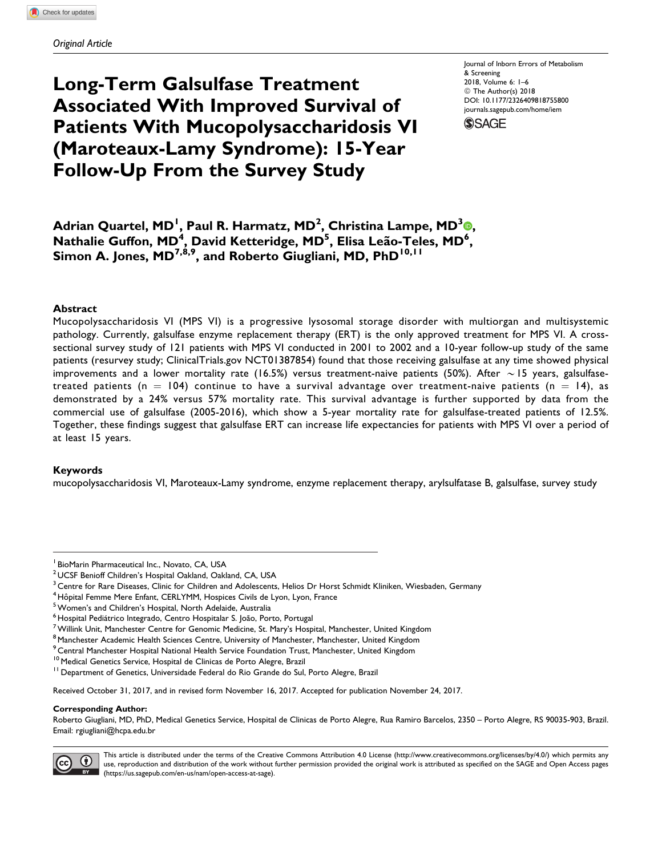# Long-Term Galsulfase Treatment Associated With Improved Survival of Patients With Mucopolysaccharidosis VI (Maroteaux-Lamy Syndrome): 15-Year Follow-Up From the Survey Study

Journal of Inborn Errors of Metabolism & Screening 2018, Volume 6: 1–6 © The Author(s) 2018 [DOI: 10.1177/2326409818755800](https://doi.org/10.1177/2326409818755800) [journals.sagepub.com/home/iem](http://journals.sagepub.com/home/iem)



Adrian Quartel[,](http://orcid.org/0000-0003-4953-7119) MD<sup>I</sup>, Paul R. Harmatz, MD<sup>2</sup>, Christina Lampe, MD<sup>3</sup>®, Nathalie Guffon, MD<sup>4</sup>, David Ketteridge, MD<sup>5</sup>, Elisa Leão-Teles, MD<sup>6</sup>, Simon A. Jones,  $MD^{7,8,9}$ , and Roberto Giugliani, MD, PhD<sup>10,11</sup>

## **Abstract**

Mucopolysaccharidosis VI (MPS VI) is a progressive lysosomal storage disorder with multiorgan and multisystemic pathology. Currently, galsulfase enzyme replacement therapy (ERT) is the only approved treatment for MPS VI. A crosssectional survey study of 121 patients with MPS VI conducted in 2001 to 2002 and a 10-year follow-up study of the same patients (resurvey study; [ClinicalTrials.gov](http://ClinicalTrials.gov) NCT01387854) found that those receiving galsulfase at any time showed physical improvements and a lower mortality rate (16.5%) versus treatment-naive patients (50%). After  $\sim$  15 years, galsulfasetreated patients (n = 104) continue to have a survival advantage over treatment-naive patients (n = 14), as demonstrated by a 24% versus 57% mortality rate. This survival advantage is further supported by data from the commercial use of galsulfase (2005-2016), which show a 5-year mortality rate for galsulfase-treated patients of 12.5%. Together, these findings suggest that galsulfase ERT can increase life expectancies for patients with MPS VI over a period of at least 15 years.

## Keywords

mucopolysaccharidosis VI, Maroteaux-Lamy syndrome, enzyme replacement therapy, arylsulfatase B, galsulfase, survey study

<sup>4</sup> Hôpital Femme Mere Enfant, CERLYMM, Hospices Civils de Lyon, Lyon, France <sup>5</sup>Women's and Children's Hospital, North Adelaide, Australia<br><sup>5</sup> Hospital Pediátrico Integrado, Centro Hospitalar S. João, Porto, Portugal

Received October 31, 2017, and in revised form November 16, 2017. Accepted for publication November 24, 2017.

#### Corresponding Author:

Roberto Giugliani, MD, PhD, Medical Genetics Service, Hospital de Clinicas de Porto Alegre, Rua Ramiro Barcelos, 2350 – Porto Alegre, RS 90035-903, Brazil. Email: rgiugliani@hcpa.edu.br



This article is distributed under the terms of the Creative Commons Attribution 4.0 License (http://www.creativecommons.org/licenses/by/4.0/) which permits any use, reproduction and distribution of the work without further permission provided the original work is attributed as specified on the SAGE and Open Access pages (https://us.sagepub.com/en-us/nam/open-access-at-sage).

<sup>&</sup>lt;sup>1</sup> BioMarin Pharmaceutical Inc., Novato, CA, USA

<sup>2</sup> UCSF Benioff Children's Hospital Oakland, Oakland, CA, USA

 $3$  Centre for Rare Diseases, Clinic for Children and Adolescents, Helios Dr Horst Schmidt Kliniken, Wiesbaden, Germany

 $^7$ Willink Unit, Manchester Centre for Genomic Medicine, St. Mary's Hospital, Manchester, United Kingdom

<sup>&</sup>lt;sup>8</sup> Manchester Academic Health Sciences Centre, University of Manchester, Manchester, United Kingdom

<sup>&</sup>lt;sup>9</sup> Central Manchester Hospital National Health Service Foundation Trust, Manchester, United Kingdom<br><sup>10</sup> Medical Genetics Service, Hospital de Clinicas de Porto Alegre, Brazil

<sup>&</sup>lt;sup>11</sup> Department of Genetics, Universidade Federal do Rio Grande do Sul, Porto Alegre, Brazil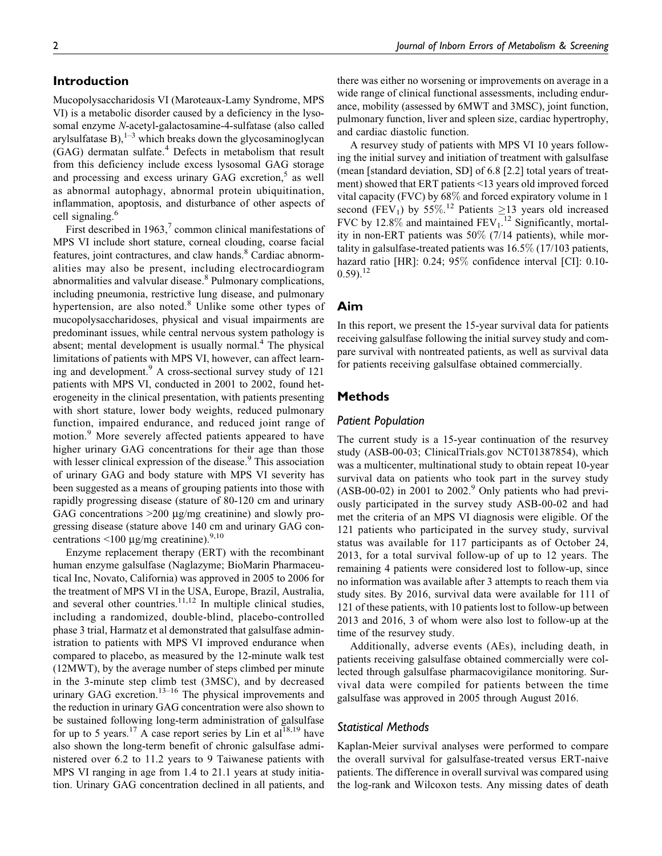# Introduction

Mucopolysaccharidosis VI (Maroteaux-Lamy Syndrome, MPS VI) is a metabolic disorder caused by a deficiency in the lysosomal enzyme N-acetyl-galactosamine-4-sulfatase (also called arylsulfatase B), $1-3$  which breaks down the glycosaminoglycan  $(GAG)$  dermatan sulfate.<sup>4</sup> Defects in metabolism that result from this deficiency include excess lysosomal GAG storage and processing and excess urinary GAG excretion, $5$  as well as abnormal autophagy, abnormal protein ubiquitination, inflammation, apoptosis, and disturbance of other aspects of cell signaling.<sup>6</sup>

First described in 1963, $\frac{7}{7}$  common clinical manifestations of MPS VI include short stature, corneal clouding, coarse facial features, joint contractures, and claw hands.<sup>8</sup> Cardiac abnormalities may also be present, including electrocardiogram abnormalities and valvular disease.<sup>8</sup> Pulmonary complications, including pneumonia, restrictive lung disease, and pulmonary hypertension, are also noted. $8$  Unlike some other types of mucopolysaccharidoses, physical and visual impairments are predominant issues, while central nervous system pathology is absent; mental development is usually normal.<sup>4</sup> The physical limitations of patients with MPS VI, however, can affect learning and development.<sup>9</sup> A cross-sectional survey study of 121 patients with MPS VI, conducted in 2001 to 2002, found heterogeneity in the clinical presentation, with patients presenting with short stature, lower body weights, reduced pulmonary function, impaired endurance, and reduced joint range of motion.<sup>9</sup> More severely affected patients appeared to have higher urinary GAG concentrations for their age than those with lesser clinical expression of the disease.<sup>9</sup> This association of urinary GAG and body stature with MPS VI severity has been suggested as a means of grouping patients into those with rapidly progressing disease (stature of 80-120 cm and urinary GAG concentrations >200 μg/mg creatinine) and slowly progressing disease (stature above 140 cm and urinary GAG concentrations  $\leq 100 \mu g/mg$  creatinine).<sup>9,10</sup>

Enzyme replacement therapy (ERT) with the recombinant human enzyme galsulfase (Naglazyme; BioMarin Pharmaceutical Inc, Novato, California) was approved in 2005 to 2006 for the treatment of MPS VI in the USA, Europe, Brazil, Australia, and several other countries. $11,12$  In multiple clinical studies, including a randomized, double-blind, placebo-controlled phase 3 trial, Harmatz et al demonstrated that galsulfase administration to patients with MPS VI improved endurance when compared to placebo, as measured by the 12-minute walk test (12MWT), by the average number of steps climbed per minute in the 3-minute step climb test (3MSC), and by decreased urinary GAG excretion.<sup>13–16</sup> The physical improvements and the reduction in urinary GAG concentration were also shown to be sustained following long-term administration of galsulfase for up to 5 years.<sup>17</sup> A case report series by Lin et al<sup>18,19</sup> have also shown the long-term benefit of chronic galsulfase administered over 6.2 to 11.2 years to 9 Taiwanese patients with MPS VI ranging in age from 1.4 to 21.1 years at study initiation. Urinary GAG concentration declined in all patients, and there was either no worsening or improvements on average in a wide range of clinical functional assessments, including endurance, mobility (assessed by 6MWT and 3MSC), joint function, pulmonary function, liver and spleen size, cardiac hypertrophy, and cardiac diastolic function.

A resurvey study of patients with MPS VI 10 years following the initial survey and initiation of treatment with galsulfase (mean [standard deviation, SD] of 6.8 [2.2] total years of treatment) showed that ERT patients <13 years old improved forced vital capacity (FVC) by 68% and forced expiratory volume in 1 second (FEV<sub>1</sub>) by 55%.<sup>12</sup> Patients  $\geq$ 13 years old increased FVC by  $12.8\%$  and maintained FEV<sub>1</sub>.<sup>12</sup> Significantly, mortality in non-ERT patients was 50% (7/14 patients), while mortality in galsulfase-treated patients was 16.5% (17/103 patients, hazard ratio [HR]: 0.24; 95% confidence interval [CI]: 0.10- $(0.59)$ <sup>12</sup>

# Aim

In this report, we present the 15-year survival data for patients receiving galsulfase following the initial survey study and compare survival with nontreated patients, as well as survival data for patients receiving galsulfase obtained commercially.

# Methods

## Patient Population

The current study is a 15-year continuation of the resurvey study (ASB-00-03; [ClinicalTrials.gov](http://ClinicalTrials.gov) NCT01387854), which was a multicenter, multinational study to obtain repeat 10-year survival data on patients who took part in the survey study  $(ASB-00-02)$  in 2001 to 2002.<sup>9</sup> Only patients who had previously participated in the survey study ASB-00-02 and had met the criteria of an MPS VI diagnosis were eligible. Of the 121 patients who participated in the survey study, survival status was available for 117 participants as of October 24, 2013, for a total survival follow-up of up to 12 years. The remaining 4 patients were considered lost to follow-up, since no information was available after 3 attempts to reach them via study sites. By 2016, survival data were available for 111 of 121 of these patients, with 10 patients lost to follow-up between 2013 and 2016, 3 of whom were also lost to follow-up at the time of the resurvey study.

Additionally, adverse events (AEs), including death, in patients receiving galsulfase obtained commercially were collected through galsulfase pharmacovigilance monitoring. Survival data were compiled for patients between the time galsulfase was approved in 2005 through August 2016.

### Statistical Methods

Kaplan-Meier survival analyses were performed to compare the overall survival for galsulfase-treated versus ERT-naive patients. The difference in overall survival was compared using the log-rank and Wilcoxon tests. Any missing dates of death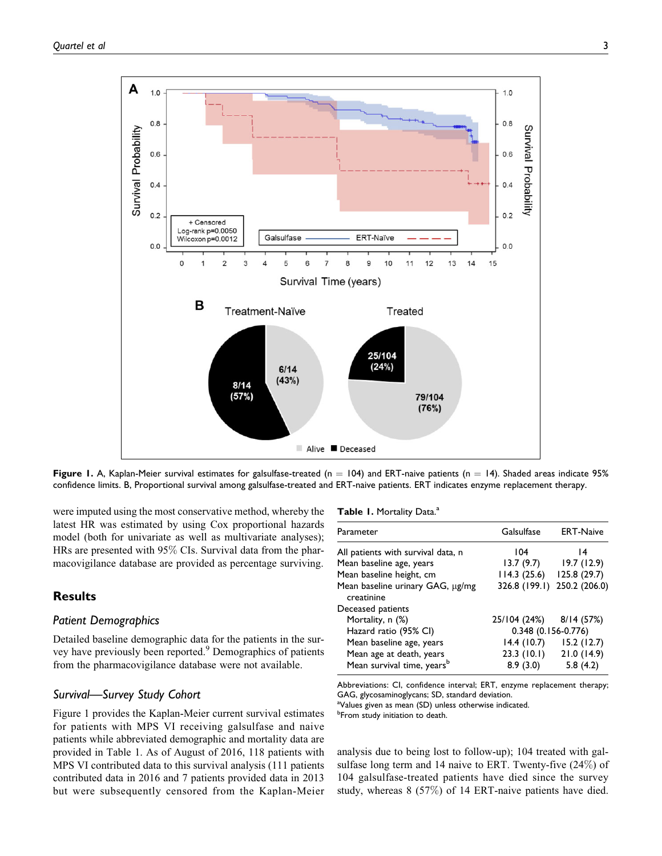

Figure 1. A, Kaplan-Meier survival estimates for galsulfase-treated (n = 104) and ERT-naive patients (n = 14). Shaded areas indicate 95% confidence limits. B, Proportional survival among galsulfase-treated and ERT-naive patients. ERT indicates enzyme replacement therapy.

were imputed using the most conservative method, whereby the latest HR was estimated by using Cox proportional hazards model (both for univariate as well as multivariate analyses); HRs are presented with 95% CIs. Survival data from the pharmacovigilance database are provided as percentage surviving.

# **Results**

#### Patient Demographics

Detailed baseline demographic data for the patients in the survey have previously been reported.<sup>9</sup> Demographics of patients from the pharmacovigilance database were not available.

# Survival—Survey Study Cohort

Figure 1 provides the Kaplan-Meier current survival estimates for patients with MPS VI receiving galsulfase and naive patients while abbreviated demographic and mortality data are provided in Table 1. As of August of 2016, 118 patients with MPS VI contributed data to this survival analysis (111 patients contributed data in 2016 and 7 patients provided data in 2013 but were subsequently censored from the Kaplan-Meier

Table 1. Mortality Data.<sup>a</sup>

| Parameter                                      | Galsulfase          | <b>ERT-Naive</b> |
|------------------------------------------------|---------------------|------------------|
| All patients with survival data, n             | 104                 | 14               |
| Mean baseline age, years                       | 13.7(9.7)           | 19.7(12.9)       |
| Mean baseline height, cm                       | 114.3(25.6)         | 125.8 (29.7)     |
| Mean baseline urinary GAG, µg/mg<br>creatinine | 326.8 (199.1)       | 250.2 (206.0)    |
| Deceased patients                              |                     |                  |
| Mortality, n (%)                               | 25/104 (24%)        | 8/14(57%)        |
| Hazard ratio (95% CI)                          | 0.348 (0.156-0.776) |                  |
| Mean baseline age, years                       | 14.4(10.7)          | 15.2(12.7)       |
| Mean age at death, years                       | 23.3(10.1)          | 21.0(14.9)       |
| Mean survival time, years <sup>b</sup>         | 8.9(3.0)            | 5.8(4.2)         |

Abbreviations: CI, confidence interval; ERT, enzyme replacement therapy; GAG, glycosaminoglycans; SD, standard deviation.

aValues given as mean (SD) unless otherwise indicated.

*b***From study initiation to death.** 

analysis due to being lost to follow-up); 104 treated with galsulfase long term and 14 naive to ERT. Twenty-five (24%) of 104 galsulfase-treated patients have died since the survey study, whereas 8 (57%) of 14 ERT-naive patients have died.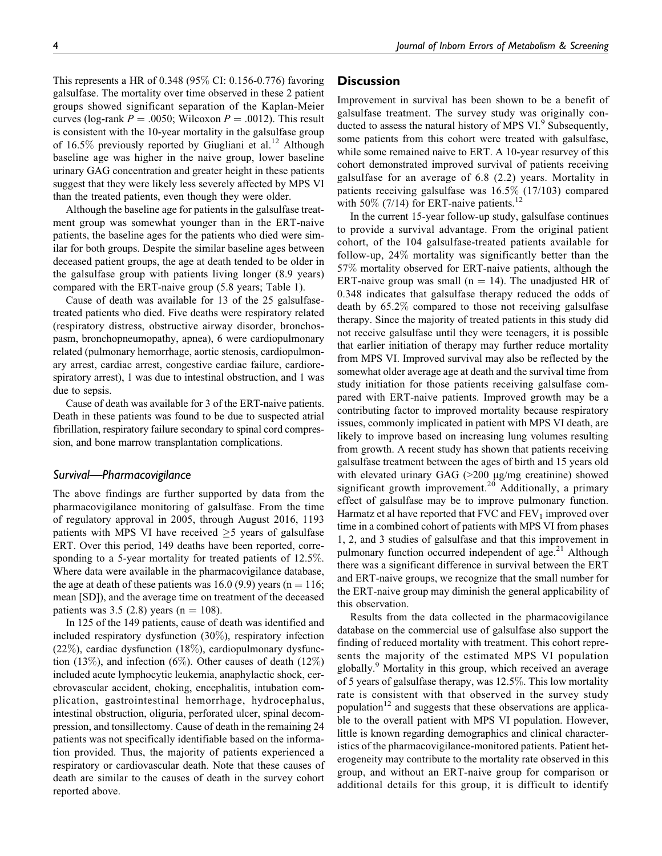This represents a HR of 0.348 (95% CI: 0.156-0.776) favoring galsulfase. The mortality over time observed in these 2 patient groups showed significant separation of the Kaplan-Meier curves (log-rank  $P = .0050$ ; Wilcoxon  $P = .0012$ ). This result is consistent with the 10-year mortality in the galsulfase group of 16.5% previously reported by Giugliani et al.<sup>12</sup> Although baseline age was higher in the naive group, lower baseline urinary GAG concentration and greater height in these patients suggest that they were likely less severely affected by MPS VI than the treated patients, even though they were older.

Although the baseline age for patients in the galsulfase treatment group was somewhat younger than in the ERT-naive patients, the baseline ages for the patients who died were similar for both groups. Despite the similar baseline ages between deceased patient groups, the age at death tended to be older in the galsulfase group with patients living longer (8.9 years) compared with the ERT-naive group (5.8 years; Table 1).

Cause of death was available for 13 of the 25 galsulfasetreated patients who died. Five deaths were respiratory related (respiratory distress, obstructive airway disorder, bronchospasm, bronchopneumopathy, apnea), 6 were cardiopulmonary related (pulmonary hemorrhage, aortic stenosis, cardiopulmonary arrest, cardiac arrest, congestive cardiac failure, cardiorespiratory arrest), 1 was due to intestinal obstruction, and 1 was due to sepsis.

Cause of death was available for 3 of the ERT-naive patients. Death in these patients was found to be due to suspected atrial fibrillation, respiratory failure secondary to spinal cord compression, and bone marrow transplantation complications.

## Survival—Pharmacovigilance

The above findings are further supported by data from the pharmacovigilance monitoring of galsulfase. From the time of regulatory approval in 2005, through August 2016, 1193 patients with MPS VI have received  $\geq$ 5 years of galsulfase ERT. Over this period, 149 deaths have been reported, corresponding to a 5-year mortality for treated patients of 12.5%. Where data were available in the pharmacovigilance database, the age at death of these patients was 16.0 (9.9) years ( $n = 116$ ; mean [SD]), and the average time on treatment of the deceased patients was  $3.5 (2.8)$  years (n = 108).

In 125 of the 149 patients, cause of death was identified and included respiratory dysfunction (30%), respiratory infection  $(22\%)$ , cardiac dysfunction  $(18\%)$ , cardiopulmonary dysfunction (13%), and infection (6%). Other causes of death (12%) included acute lymphocytic leukemia, anaphylactic shock, cerebrovascular accident, choking, encephalitis, intubation complication, gastrointestinal hemorrhage, hydrocephalus, intestinal obstruction, oliguria, perforated ulcer, spinal decompression, and tonsillectomy. Cause of death in the remaining 24 patients was not specifically identifiable based on the information provided. Thus, the majority of patients experienced a respiratory or cardiovascular death. Note that these causes of death are similar to the causes of death in the survey cohort reported above.

# **Discussion**

Improvement in survival has been shown to be a benefit of galsulfase treatment. The survey study was originally conducted to assess the natural history of MPS VI.<sup>9</sup> Subsequently, some patients from this cohort were treated with galsulfase, while some remained naive to ERT. A 10-year resurvey of this cohort demonstrated improved survival of patients receiving galsulfase for an average of 6.8 (2.2) years. Mortality in patients receiving galsulfase was 16.5% (17/103) compared with 50% (7/14) for ERT-naive patients.<sup>12</sup>

In the current 15-year follow-up study, galsulfase continues to provide a survival advantage. From the original patient cohort, of the 104 galsulfase-treated patients available for follow-up, 24% mortality was significantly better than the 57% mortality observed for ERT-naive patients, although the ERT-naive group was small ( $n = 14$ ). The unadjusted HR of 0.348 indicates that galsulfase therapy reduced the odds of death by 65.2% compared to those not receiving galsulfase therapy. Since the majority of treated patients in this study did not receive galsulfase until they were teenagers, it is possible that earlier initiation of therapy may further reduce mortality from MPS VI. Improved survival may also be reflected by the somewhat older average age at death and the survival time from study initiation for those patients receiving galsulfase compared with ERT-naive patients. Improved growth may be a contributing factor to improved mortality because respiratory issues, commonly implicated in patient with MPS VI death, are likely to improve based on increasing lung volumes resulting from growth. A recent study has shown that patients receiving galsulfase treatment between the ages of birth and 15 years old with elevated urinary GAG (>200 µg/mg creatinine) showed significant growth improvement.<sup>20</sup> Additionally, a primary effect of galsulfase may be to improve pulmonary function. Harmatz et al have reported that  $FVC$  and  $FEV_1$  improved over time in a combined cohort of patients with MPS VI from phases 1, 2, and 3 studies of galsulfase and that this improvement in pulmonary function occurred independent of age.<sup>21</sup> Although there was a significant difference in survival between the ERT and ERT-naive groups, we recognize that the small number for the ERT-naive group may diminish the general applicability of this observation.

Results from the data collected in the pharmacovigilance database on the commercial use of galsulfase also support the finding of reduced mortality with treatment. This cohort represents the majority of the estimated MPS VI population globally.<sup>9</sup> Mortality in this group, which received an average of 5 years of galsulfase therapy, was 12.5%. This low mortality rate is consistent with that observed in the survey study population<sup>12</sup> and suggests that these observations are applicable to the overall patient with MPS VI population. However, little is known regarding demographics and clinical characteristics of the pharmacovigilance-monitored patients. Patient heterogeneity may contribute to the mortality rate observed in this group, and without an ERT-naive group for comparison or additional details for this group, it is difficult to identify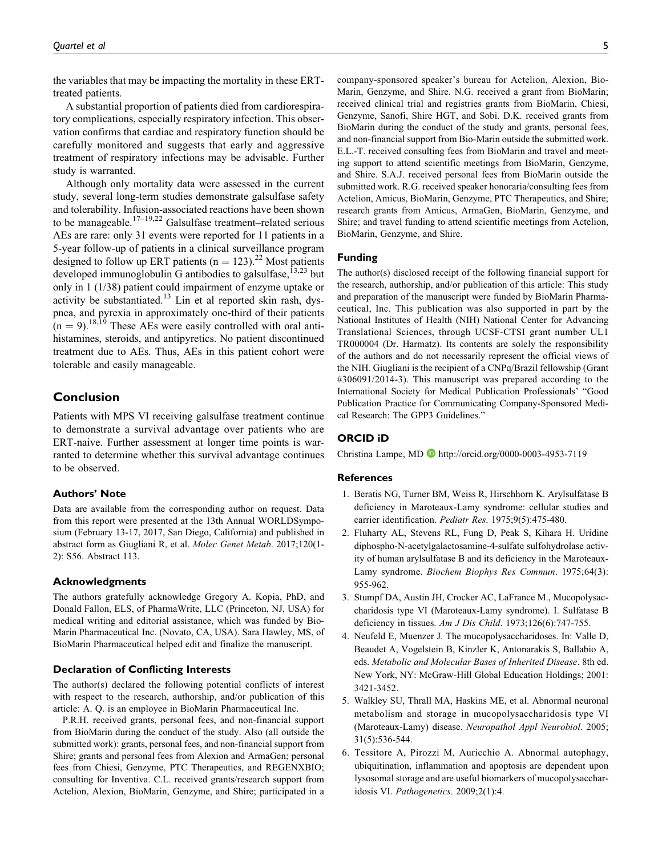the variables that may be impacting the mortality in these ERTtreated patients.

A substantial proportion of patients died from cardiorespiratory complications, especially respiratory infection. This observation confirms that cardiac and respiratory function should be carefully monitored and suggests that early and aggressive treatment of respiratory infections may be advisable. Further study is warranted.

Although only mortality data were assessed in the current study, several long-term studies demonstrate galsulfase safety and tolerability. Infusion-associated reactions have been shown to be manageable.<sup>17–19,22</sup> Galsulfase treatment–related serious AEs are rare: only 31 events were reported for 11 patients in a 5-year follow-up of patients in a clinical surveillance program designed to follow up ERT patients ( $n = 123$ ).<sup>22</sup> Most patients developed immunoglobulin G antibodies to galsulfase,  $^{13,23}$  but only in 1 (1/38) patient could impairment of enzyme uptake or activity be substantiated.<sup>13</sup> Lin et al reported skin rash, dyspnea, and pyrexia in approximately one-third of their patients  $(n = 9)$ .<sup>18,19</sup> These AEs were easily controlled with oral antihistamines, steroids, and antipyretics. No patient discontinued treatment due to AEs. Thus, AEs in this patient cohort were tolerable and easily manageable.

# Conclusion

Patients with MPS VI receiving galsulfase treatment continue to demonstrate a survival advantage over patients who are ERT-naive. Further assessment at longer time points is warranted to determine whether this survival advantage continues to be observed.

#### Authors' Note

Data are available from the corresponding author on request. Data from this report were presented at the 13th Annual WORLDSymposium (February 13-17, 2017, San Diego, California) and published in abstract form as Giugliani R, et al. Molec Genet Metab. 2017;120(1- 2): S56. Abstract 113.

### Acknowledgments

The authors gratefully acknowledge Gregory A. Kopia, PhD, and Donald Fallon, ELS, of PharmaWrite, LLC (Princeton, NJ, USA) for medical writing and editorial assistance, which was funded by Bio-Marin Pharmaceutical Inc. (Novato, CA, USA). Sara Hawley, MS, of BioMarin Pharmaceutical helped edit and finalize the manuscript.

#### Declaration of Conflicting Interests

The author(s) declared the following potential conflicts of interest with respect to the research, authorship, and/or publication of this article: A. Q. is an employee in BioMarin Pharmaceutical Inc.

P.R.H. received grants, personal fees, and non-financial support from BioMarin during the conduct of the study. Also (all outside the submitted work): grants, personal fees, and non-financial support from Shire; grants and personal fees from Alexion and ArmaGen; personal fees from Chiesi, Genzyme, PTC Therapeutics, and REGENXBIO; consulting for Inventiva. C.L. received grants/research support from Actelion, Alexion, BioMarin, Genzyme, and Shire; participated in a company-sponsored speaker's bureau for Actelion, Alexion, Bio-Marin, Genzyme, and Shire. N.G. received a grant from BioMarin; received clinical trial and registries grants from BioMarin, Chiesi, Genzyme, Sanofi, Shire HGT, and Sobi. D.K. received grants from BioMarin during the conduct of the study and grants, personal fees, and non-financial support from Bio-Marin outside the submitted work. E.L.-T. received consulting fees from BioMarin and travel and meeting support to attend scientific meetings from BioMarin, Genzyme, and Shire. S.A.J. received personal fees from BioMarin outside the submitted work. R.G. received speaker honoraria/consulting fees from Actelion, Amicus, BioMarin, Genzyme, PTC Therapeutics, and Shire; research grants from Amicus, ArmaGen, BioMarin, Genzyme, and Shire; and travel funding to attend scientific meetings from Actelion, BioMarin, Genzyme, and Shire.

#### Funding

The author(s) disclosed receipt of the following financial support for the research, authorship, and/or publication of this article: This study and preparation of the manuscript were funded by BioMarin Pharmaceutical, Inc. This publication was also supported in part by the National Institutes of Health (NIH) National Center for Advancing Translational Sciences, through UCSF-CTSI grant number UL1 TR000004 (Dr. Harmatz). Its contents are solely the responsibility of the authors and do not necessarily represent the official views of the NIH. Giugliani is the recipient of a CNPq/Brazil fellowship (Grant #306091/2014-3). This manuscript was prepared according to the International Society for Medical Publication Professionals' "Good Publication Practice for Communicating Company-Sponsored Medical Research: The GPP3 Guidelines."

## ORCID iD

Christina Lampe, MD <http://orcid.org/0000-0003-4953-7119>

#### References

- 1. Beratis NG, Turner BM, Weiss R, Hirschhorn K. Arylsulfatase B deficiency in Maroteaux-Lamy syndrome: cellular studies and carrier identification. Pediatr Res. 1975;9(5):475-480.
- 2. Fluharty AL, Stevens RL, Fung D, Peak S, Kihara H. Uridine diphospho-N-acetylgalactosamine-4-sulfate sulfohydrolase activity of human arylsulfatase B and its deficiency in the Maroteaux-Lamy syndrome. Biochem Biophys Res Commun. 1975;64(3): 955-962.
- 3. Stumpf DA, Austin JH, Crocker AC, LaFrance M., Mucopolysaccharidosis type VI (Maroteaux-Lamy syndrome). I. Sulfatase B deficiency in tissues. Am J Dis Child. 1973;126(6):747-755.
- 4. Neufeld E, Muenzer J. The mucopolysaccharidoses. In: Valle D, Beaudet A, Vogelstein B, Kinzler K, Antonarakis S, Ballabio A, eds. Metabolic and Molecular Bases of Inherited Disease. 8th ed. New York, NY: McGraw-Hill Global Education Holdings; 2001: 3421-3452.
- 5. Walkley SU, Thrall MA, Haskins ME, et al. Abnormal neuronal metabolism and storage in mucopolysaccharidosis type VI (Maroteaux-Lamy) disease. Neuropathol Appl Neurobiol. 2005; 31(5):536-544.
- 6. Tessitore A, Pirozzi M, Auricchio A. Abnormal autophagy, ubiquitination, inflammation and apoptosis are dependent upon lysosomal storage and are useful biomarkers of mucopolysaccharidosis VI. Pathogenetics. 2009;2(1):4.